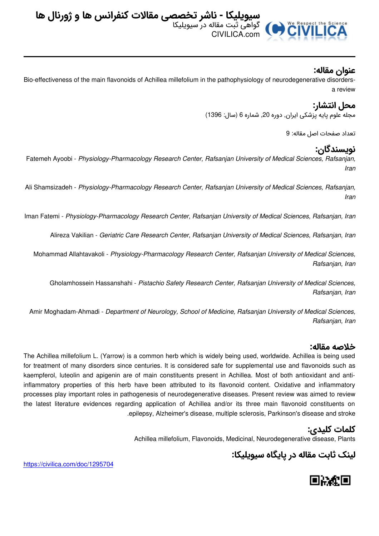

### **عنوان مقاله:**

Bio-effectiveness of the main flavonoids of Achillea millefolium in the pathophysiology of neurodegenerative disordersa review

## **محل انتشار:**

مجله علوم پایه پزشکی ایران, دوره ,20 شماره 6 (سال: 1396)

تعداد صفحات اصل مقاله: 9

# **نویسندگان:**

Fatemeh Ayoobi - *Physiology-Pharmacology Research Center, Rafsanjan University of Medical Sciences, Rafsanjan, Iran*

Ali Shamsizadeh - *Physiology-Pharmacology Research Center, Rafsanjan University of Medical Sciences, Rafsanjan, Iran*

Iman Fatemi - *Physiology-Pharmacology Research Center, Rafsanjan University of Medical Sciences, Rafsanjan, Iran*

Alireza Vakilian - *Geriatric Care Research Center, Rafsanjan University of Medical Sciences, Rafsanjan, Iran*

Mohammad Allahtavakoli - *Physiology-Pharmacology Research Center, Rafsanjan University of Medical Sciences, Rafsanjan, Iran*

Gholamhossein Hassanshahi - *Pistachio Safety Research Center, Rafsanjan University of Medical Sciences, Rafsanjan, Iran*

Amir Moghadam-Ahmadi - *Department of Neurology, School of Medicine, Rafsanjan University of Medical Sciences, Rafsanjan, Iran*

#### **خلاصه مقاله:**

The Achillea millefolium L. (Yarrow) is a common herb which is widely being used, worldwide. Achillea is being used for treatment of many disorders since centuries. It is considered safe for supplemental use and flavonoids such as kaempferol, luteolin and apigenin are of main constituents present in Achillea. Most of both antioxidant and antiinflammatory properties of this herb have been attributed to its flavonoid content. Oxidative and inflammatory processes play important roles in pathogenesis of neurodegenerative diseases. Present review was aimed to review the latest literature evidences regarding application of Achillea and/or its three main flavonoid constituents on .epilepsy, Alzheimer's disease, multiple sclerosis, Parkinson's disease and stroke

## **کلمات کلیدی:**

Achillea millefolium, Flavonoids, Medicinal, Neurodegenerative disease, Plants

**لینک ثابت مقاله در پایگاه سیویلیکا:**